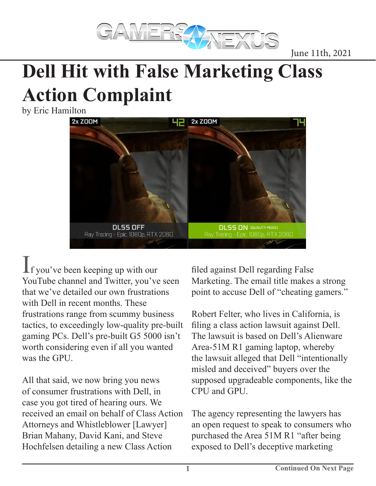

June 11th, 2021

## **Dell Hit with False Marketing Class Action Complaint**

by Eric Hamilton



 $\mathbf 1$ f you've been keeping up with our YouTube channel and Twitter, you've seen that we've detailed our own frustrations with Dell in recent months. These frustrations range from scummy business tactics, to exceedingly low-quality pre-built gaming PCs. Dell's pre-built G5 5000 isn't worth considering even if all you wanted was the GPU.

All that said, we now bring you news of consumer frustrations with Dell, in case you got tired of hearing ours. We received an email on behalf of Class Action Attorneys and Whistleblower [Lawyer] Brian Mahany, David Kani, and Steve Hochfelsen detailing a new Class Action

filed against Dell regarding False Marketing. The email title makes a strong point to accuse Dell of "cheating gamers."

Robert Felter, who lives in California, is filing a class action lawsuit against Dell. The lawsuit is based on Dell's Alienware Area-51M R1 gaming laptop, whereby the lawsuit alleged that Dell "intentionally misled and deceived" buyers over the supposed upgradeable components, like the CPU and GPU.

The agency representing the lawyers has an open request to speak to consumers who purchased the Area 51M R1 "after being exposed to Dell's deceptive marketing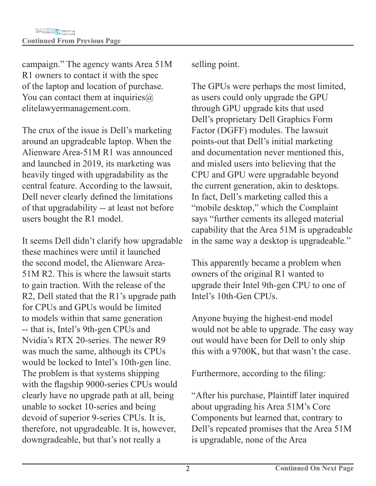campaign." The agency wants Area 51M R1 owners to contact it with the spec of the laptop and location of purchase. You can contact them at inquiries $\omega$ elitelawyermanagement.com.

The crux of the issue is Dell's marketing around an upgradeable laptop. When the Alienware Area-51M R1 was announced and launched in 2019, its marketing was heavily tinged with upgradability as the central feature. According to the lawsuit, Dell never clearly defined the limitations of that upgradability -- at least not before users bought the R1 model.

It seems Dell didn't clarify how upgradable these machines were until it launched the second model, the Alienware Area-51M R2. This is where the lawsuit starts to gain traction. With the release of the R2, Dell stated that the R1's upgrade path for CPUs and GPUs would be limited to models within that same generation -- that is, Intel's 9th-gen CPUs and Nvidia's RTX 20-series. The newer R9 was much the same, although its CPUs would be locked to Intel's 10th-gen line. The problem is that systems shipping with the flagship 9000-series CPUs would clearly have no upgrade path at all, being unable to socket 10-series and being devoid of superior 9-series CPUs. It is, therefore, not upgradeable. It is, however, downgradeable, but that's not really a

selling point.

The GPUs were perhaps the most limited, as users could only upgrade the GPU through GPU upgrade kits that used Dell's proprietary Dell Graphics Form Factor (DGFF) modules. The lawsuit points-out that Dell's initial marketing and documentation never mentioned this, and misled users into believing that the CPU and GPU were upgradable beyond the current generation, akin to desktops. In fact, Dell's marketing called this a "mobile desktop," which the Complaint says "further cements its alleged material capability that the Area 51M is upgradeable in the same way a desktop is upgradeable."

This apparently became a problem when owners of the original R1 wanted to upgrade their Intel 9th-gen CPU to one of Intel's 10th-Gen CPUs.

Anyone buying the highest-end model would not be able to upgrade. The easy way out would have been for Dell to only ship this with a 9700K, but that wasn't the case.

Furthermore, according to the filing:

"After his purchase, Plaintiff later inquired about upgrading his Area 51M's Core Components but learned that, contrary to Dell's repeated promises that the Area 51M is upgradable, none of the Area